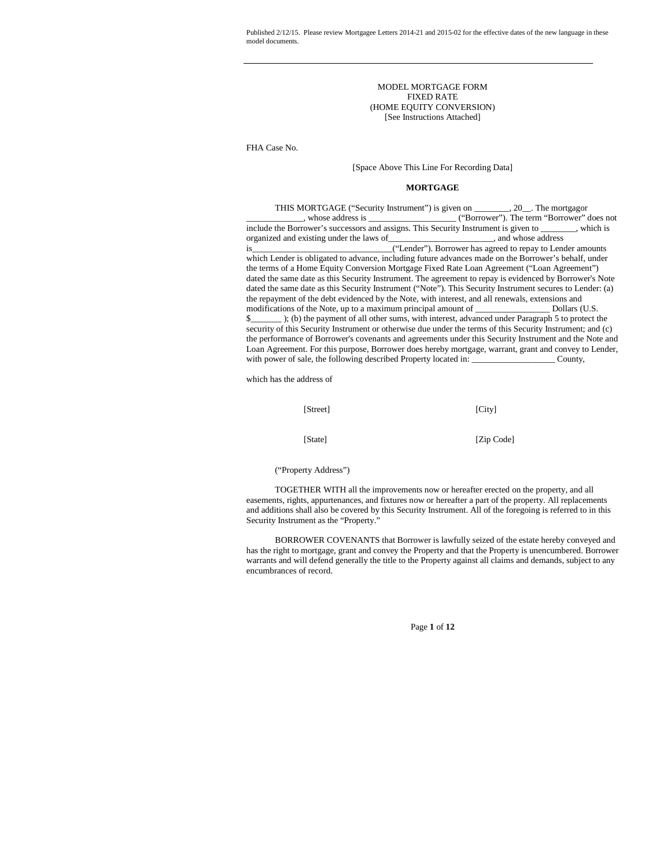> MODEL MORTGAGE FORM FIXED RATE (HOME EQUITY CONVERSION) [See Instructions Attached]

FHA Case No.

## [Space Above This Line For Recording Data]

## **MORTGAGE**

THIS MORTGAGE ("Security Instrument") is given on \_\_\_\_\_\_\_\_, 20\_\_. The mortgagor \_\_\_\_\_\_\_\_\_\_\_\_\_, whose address is \_\_\_\_\_\_\_\_\_\_\_\_\_\_\_\_\_\_\_\_ ("Borrower"). The term "Borrower" does not include the Borrower's successors and assigns. This Security Instrument is given to \_\_\_\_\_\_\_\_, which is organized and existing under the laws of is\_\_\_\_\_\_\_\_\_\_\_\_\_\_\_\_\_\_\_\_\_\_\_\_\_\_\_\_\_\_\_\_("Lender"). Borrower has agreed to repay to Lender amounts which Lender is obligated to advance, including future advances made on the Borrower's behalf, under the terms of a Home Equity Conversion Mortgage Fixed Rate Loan Agreement ("Loan Agreement") dated the same date as this Security Instrument. The agreement to repay is evidenced by Borrower's Note dated the same date as this Security Instrument ("Note"). This Security Instrument secures to Lender: (a) the repayment of the debt evidenced by the Note, with interest, and all renewals, extensions and modifications of the Note, up to a maximum principal amount of \_\_\_\_\_\_\_\_\_\_\_\_\_\_\_\_\_\_\_\_\_\_\_ Dollars (U.S. \$\_\_\_\_\_\_\_ ); (b) the payment of all other sums, with interest, advanced under Paragraph 5 to protect the security of this Security Instrument or otherwise due under the terms of this Security Instrument; and (c) the performance of Borrower's covenants and agreements under this Security Instrument and the Note and Loan Agreement. For this purpose, Borrower does hereby mortgage, warrant, grant and convey to Lender, with power of sale, the following described Property located in: \_\_\_\_\_\_\_\_\_\_\_\_\_\_\_\_\_\_\_ County,

which has the address of

| [Street] | [City]     |
|----------|------------|
| [State]  | [Zip Code] |

("Property Address")

TOGETHER WITH all the improvements now or hereafter erected on the property, and all easements, rights, appurtenances, and fixtures now or hereafter a part of the property. All replacements and additions shall also be covered by this Security Instrument. All of the foregoing is referred to in this Security Instrument as the "Property."

BORROWER COVENANTS that Borrower is lawfully seized of the estate hereby conveyed and has the right to mortgage, grant and convey the Property and that the Property is unencumbered. Borrower warrants and will defend generally the title to the Property against all claims and demands, subject to any encumbrances of record.

Page **1** of **12**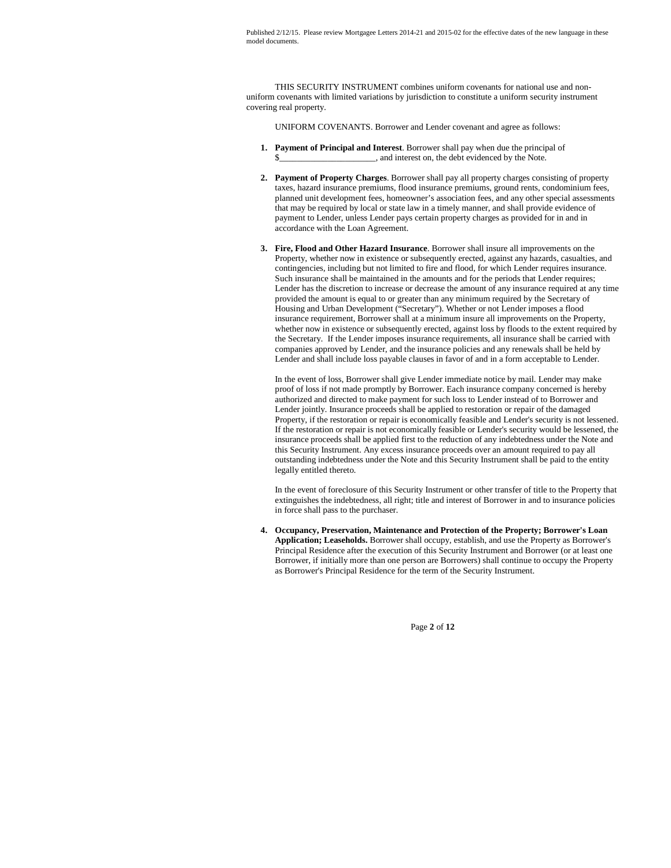THIS SECURITY INSTRUMENT combines uniform covenants for national use and nonuniform covenants with limited variations by jurisdiction to constitute a uniform security instrument covering real property.

UNIFORM COVENANTS. Borrower and Lender covenant and agree as follows:

- **1. Payment of Principal and Interest**. Borrower shall pay when due the principal of  $\Box$ , and interest on, the debt evidenced by the Note.
- **2. Payment of Property Charges**. Borrower shall pay all property charges consisting of property taxes, hazard insurance premiums, flood insurance premiums, ground rents, condominium fees, planned unit development fees, homeowner's association fees, and any other special assessments that may be required by local or state law in a timely manner, and shall provide evidence of payment to Lender, unless Lender pays certain property charges as provided for in and in accordance with the Loan Agreement.
- **3. Fire, Flood and Other Hazard Insurance**. Borrower shall insure all improvements on the Property, whether now in existence or subsequently erected, against any hazards, casualties, and contingencies, including but not limited to fire and flood, for which Lender requires insurance. Such insurance shall be maintained in the amounts and for the periods that Lender requires; Lender has the discretion to increase or decrease the amount of any insurance required at any time provided the amount is equal to or greater than any minimum required by the Secretary of Housing and Urban Development ("Secretary"). Whether or not Lender imposes a flood insurance requirement, Borrower shall at a minimum insure all improvements on the Property, whether now in existence or subsequently erected, against loss by floods to the extent required by the Secretary. If the Lender imposes insurance requirements, all insurance shall be carried with companies approved by Lender, and the insurance policies and any renewals shall be held by Lender and shall include loss payable clauses in favor of and in a form acceptable to Lender.

In the event of loss, Borrower shall give Lender immediate notice by mail. Lender may make proof of loss if not made promptly by Borrower. Each insurance company concerned is hereby authorized and directed to make payment for such loss to Lender instead of to Borrower and Lender jointly. Insurance proceeds shall be applied to restoration or repair of the damaged Property, if the restoration or repair is economically feasible and Lender's security is not lessened. If the restoration or repair is not economically feasible or Lender's security would be lessened, the insurance proceeds shall be applied first to the reduction of any indebtedness under the Note and this Security Instrument. Any excess insurance proceeds over an amount required to pay all outstanding indebtedness under the Note and this Security Instrument shall be paid to the entity legally entitled thereto.

In the event of foreclosure of this Security Instrument or other transfer of title to the Property that extinguishes the indebtedness, all right; title and interest of Borrower in and to insurance policies in force shall pass to the purchaser.

**4. Occupancy, Preservation, Maintenance and Protection of the Property; Borrower's Loan Application; Leaseholds.** Borrower shall occupy, establish, and use the Property as Borrower's Principal Residence after the execution of this Security Instrument and Borrower (or at least one Borrower, if initially more than one person are Borrowers) shall continue to occupy the Property as Borrower's Principal Residence for the term of the Security Instrument.

Page **2** of **12**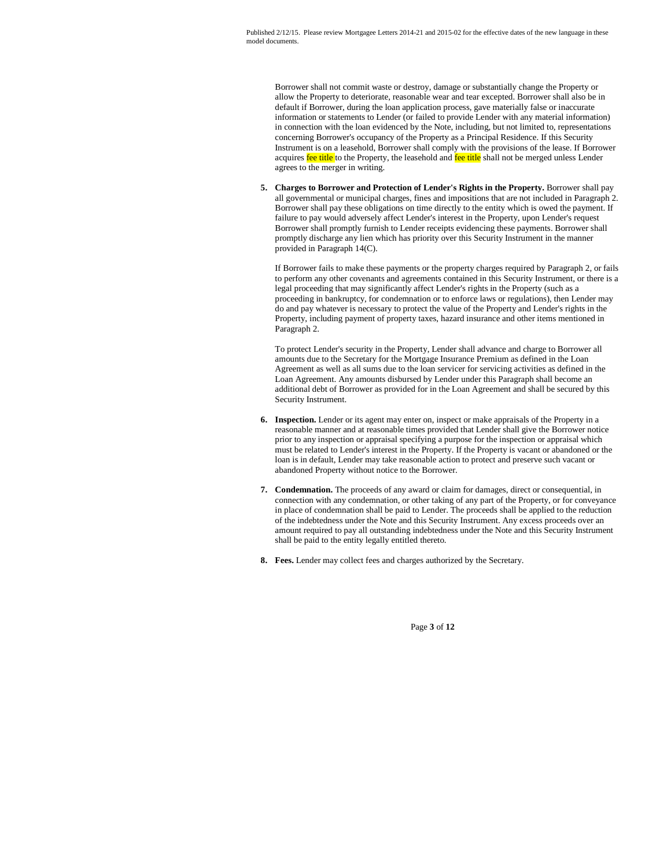Borrower shall not commit waste or destroy, damage or substantially change the Property or allow the Property to deteriorate, reasonable wear and tear excepted. Borrower shall also be in default if Borrower, during the loan application process, gave materially false or inaccurate information or statements to Lender (or failed to provide Lender with any material information) in connection with the loan evidenced by the Note, including, but not limited to, representations concerning Borrower's occupancy of the Property as a Principal Residence. If this Security Instrument is on a leasehold, Borrower shall comply with the provisions of the lease. If Borrower acquires fee title to the Property, the leasehold and fee title shall not be merged unless Lender agrees to the merger in writing.

**5. Charges to Borrower and Protection of Lender's Rights in the Property.** Borrower shall pay all governmental or municipal charges, fines and impositions that are not included in Paragraph 2. Borrower shall pay these obligations on time directly to the entity which is owed the payment. If failure to pay would adversely affect Lender's interest in the Property, upon Lender's request Borrower shall promptly furnish to Lender receipts evidencing these payments. Borrower shall promptly discharge any lien which has priority over this Security Instrument in the manner provided in Paragraph 14(C).

If Borrower fails to make these payments or the property charges required by Paragraph 2, or fails to perform any other covenants and agreements contained in this Security Instrument, or there is a legal proceeding that may significantly affect Lender's rights in the Property (such as a proceeding in bankruptcy, for condemnation or to enforce laws or regulations), then Lender may do and pay whatever is necessary to protect the value of the Property and Lender's rights in the Property, including payment of property taxes, hazard insurance and other items mentioned in Paragraph 2.

To protect Lender's security in the Property, Lender shall advance and charge to Borrower all amounts due to the Secretary for the Mortgage Insurance Premium as defined in the Loan Agreement as well as all sums due to the loan servicer for servicing activities as defined in the Loan Agreement. Any amounts disbursed by Lender under this Paragraph shall become an additional debt of Borrower as provided for in the Loan Agreement and shall be secured by this Security Instrument.

- **6. Inspection.** Lender or its agent may enter on, inspect or make appraisals of the Property in a reasonable manner and at reasonable times provided that Lender shall give the Borrower notice prior to any inspection or appraisal specifying a purpose for the inspection or appraisal which must be related to Lender's interest in the Property. If the Property is vacant or abandoned or the loan is in default, Lender may take reasonable action to protect and preserve such vacant or abandoned Property without notice to the Borrower.
- **7. Condemnation.** The proceeds of any award or claim for damages, direct or consequential, in connection with any condemnation, or other taking of any part of the Property, or for conveyance in place of condemnation shall be paid to Lender. The proceeds shall be applied to the reduction of the indebtedness under the Note and this Security Instrument. Any excess proceeds over an amount required to pay all outstanding indebtedness under the Note and this Security Instrument shall be paid to the entity legally entitled thereto.
- **8. Fees.** Lender may collect fees and charges authorized by the Secretary.

Page **3** of **12**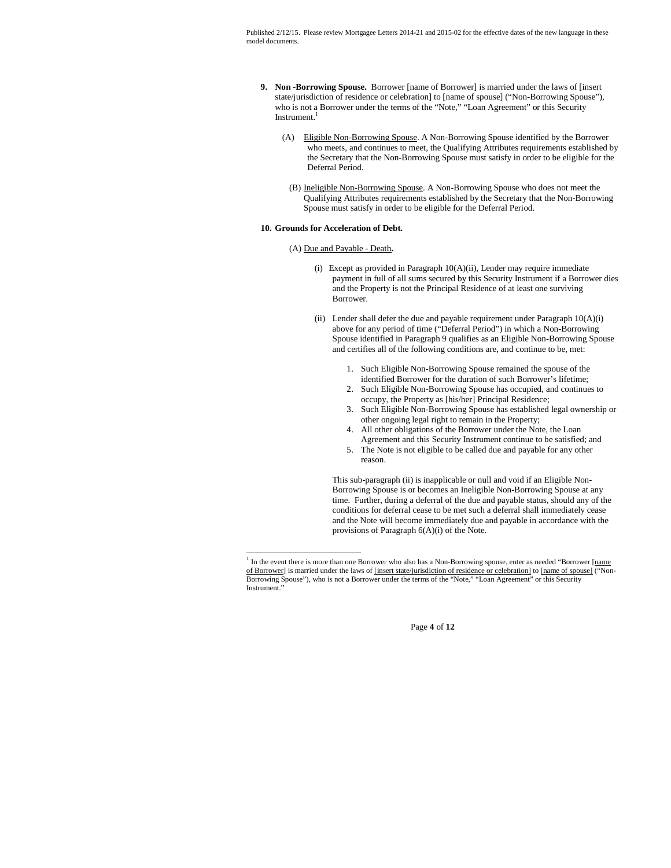- **9. Non -Borrowing Spouse.** Borrower [name of Borrower] is married under the laws of [insert state/jurisdiction of residence or celebration] to [name of spouse] ("Non-Borrowing Spouse"), who is not a Borrower under the terms of the "Note," "Loan Agreement" or this Security Instrument.
	- (A) Eligible Non-Borrowing Spouse. A Non-Borrowing Spouse identified by the Borrower who meets, and continues to meet, the Qualifying Attributes requirements established by the Secretary that the Non-Borrowing Spouse must satisfy in order to be eligible for the Deferral Period.
	- (B) Ineligible Non-Borrowing Spouse. A Non-Borrowing Spouse who does not meet the Qualifying Attributes requirements established by the Secretary that the Non-Borrowing Spouse must satisfy in order to be eligible for the Deferral Period.

## **10. Grounds for Acceleration of Debt.**

## (A) Due and Payable - Death**.**

- (i) Except as provided in Paragraph 10(A)(ii), Lender may require immediate payment in full of all sums secured by this Security Instrument if a Borrower dies and the Property is not the Principal Residence of at least one surviving Borrower.
- (ii) Lender shall defer the due and payable requirement under Paragraph  $10(A)(i)$ above for any period of time ("Deferral Period") in which a Non-Borrowing Spouse identified in Paragraph 9 qualifies as an Eligible Non-Borrowing Spouse and certifies all of the following conditions are, and continue to be, met:
	- 1. Such Eligible Non-Borrowing Spouse remained the spouse of the identified Borrower for the duration of such Borrower's lifetime;
	- 2. Such Eligible Non-Borrowing Spouse has occupied, and continues to occupy, the Property as [his/her] Principal Residence;
	- 3. Such Eligible Non-Borrowing Spouse has established legal ownership or other ongoing legal right to remain in the Property;
	- 4. All other obligations of the Borrower under the Note, the Loan Agreement and this Security Instrument continue to be satisfied; and
	- 5. The Note is not eligible to be called due and payable for any other reason.

This sub-paragraph (ii) is inapplicable or null and void if an Eligible Non-Borrowing Spouse is or becomes an Ineligible Non-Borrowing Spouse at any time. Further, during a deferral of the due and payable status, should any of the conditions for deferral cease to be met such a deferral shall immediately cease and the Note will become immediately due and payable in accordance with the provisions of Paragraph 6(A)(i) of the Note.

Page **4** of **12**

<sup>&</sup>lt;sup>1</sup> In the event there is more than one Borrower who also has a Non-Borrowing spouse, enter as needed "Borrower [name] of Borrower] is married under the laws of [insert state/jurisdiction of residence or celebration] to [name of spouse] ("Non-Borrowing Spouse"), who is not a Borrower under the terms of the "Note," "Loan Agreement" or this Security Instrument.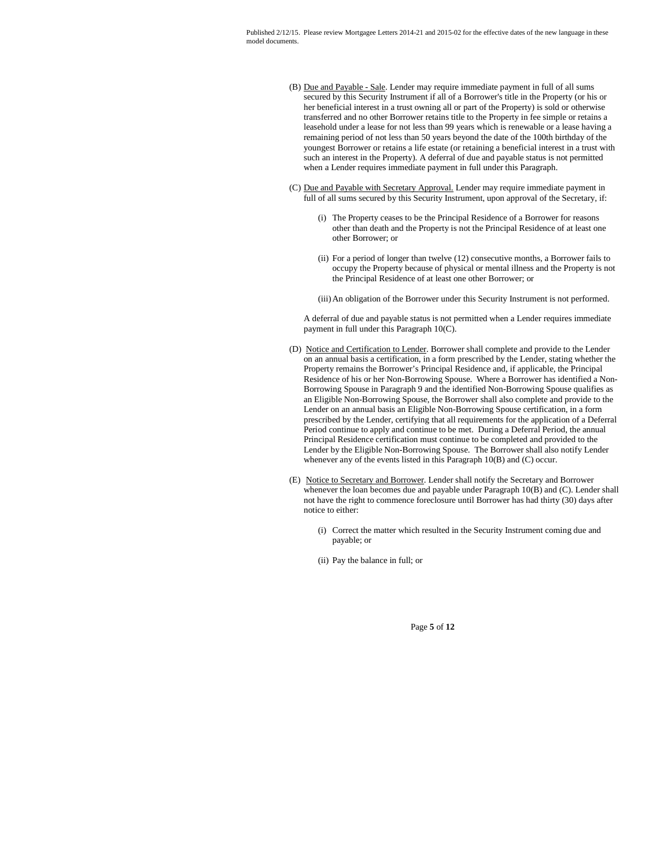- (B) Due and Payable Sale. Lender may require immediate payment in full of all sums secured by this Security Instrument if all of a Borrower's title in the Property (or his or her beneficial interest in a trust owning all or part of the Property) is sold or otherwise transferred and no other Borrower retains title to the Property in fee simple or retains a leasehold under a lease for not less than 99 years which is renewable or a lease having a remaining period of not less than 50 years beyond the date of the 100th birthday of the youngest Borrower or retains a life estate (or retaining a beneficial interest in a trust with such an interest in the Property). A deferral of due and payable status is not permitted when a Lender requires immediate payment in full under this Paragraph.
- (C) Due and Payable with Secretary Approval. Lender may require immediate payment in full of all sums secured by this Security Instrument, upon approval of the Secretary, if:
	- (i) The Property ceases to be the Principal Residence of a Borrower for reasons other than death and the Property is not the Principal Residence of at least one other Borrower; or
	- (ii) For a period of longer than twelve (12) consecutive months, a Borrower fails to occupy the Property because of physical or mental illness and the Property is not the Principal Residence of at least one other Borrower; or
	- (iii)An obligation of the Borrower under this Security Instrument is not performed.

A deferral of due and payable status is not permitted when a Lender requires immediate payment in full under this Paragraph 10(C).

- (D) Notice and Certification to Lender. Borrower shall complete and provide to the Lender on an annual basis a certification, in a form prescribed by the Lender, stating whether the Property remains the Borrower's Principal Residence and, if applicable, the Principal Residence of his or her Non-Borrowing Spouse. Where a Borrower has identified a Non-Borrowing Spouse in Paragraph 9 and the identified Non-Borrowing Spouse qualifies as an Eligible Non-Borrowing Spouse, the Borrower shall also complete and provide to the Lender on an annual basis an Eligible Non-Borrowing Spouse certification, in a form prescribed by the Lender, certifying that all requirements for the application of a Deferral Period continue to apply and continue to be met. During a Deferral Period, the annual Principal Residence certification must continue to be completed and provided to the Lender by the Eligible Non-Borrowing Spouse. The Borrower shall also notify Lender whenever any of the events listed in this Paragraph 10(B) and (C) occur.
- (E) Notice to Secretary and Borrower. Lender shall notify the Secretary and Borrower whenever the loan becomes due and payable under Paragraph 10(B) and (C). Lender shall not have the right to commence foreclosure until Borrower has had thirty (30) days after notice to either:
	- (i) Correct the matter which resulted in the Security Instrument coming due and payable; or
	- (ii) Pay the balance in full; or

Page **5** of **12**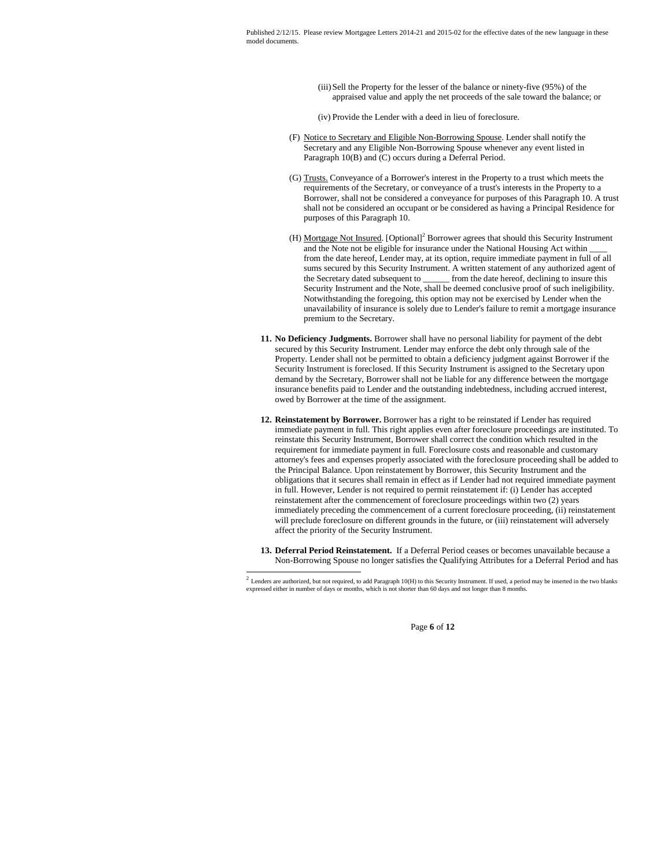> (iii)Sell the Property for the lesser of the balance or ninety-five (95%) of the appraised value and apply the net proceeds of the sale toward the balance; or

(iv) Provide the Lender with a deed in lieu of foreclosure.

- (F) Notice to Secretary and Eligible Non-Borrowing Spouse. Lender shall notify the Secretary and any Eligible Non-Borrowing Spouse whenever any event listed in Paragraph 10(B) and (C) occurs during a Deferral Period.
- (G) Trusts. Conveyance of a Borrower's interest in the Property to a trust which meets the requirements of the Secretary, or conveyance of a trust's interests in the Property to a Borrower, shall not be considered a conveyance for purposes of this Paragraph 10. A trust shall not be considered an occupant or be considered as having a Principal Residence for purposes of this Paragraph 10.
- (H) Mortgage Not Insured. [Optional]<sup>2</sup> Borrower agrees that should this Security Instrument and the Note not be eligible for insurance under the National Housing Act within from the date hereof, Lender may, at its option, require immediate payment in full of all sums secured by this Security Instrument. A written statement of any authorized agent of the Secretary dated subsequent to \_\_\_\_\_\_ from the date hereof, declining to insure this Security Instrument and the Note, shall be deemed conclusive proof of such ineligibility. Notwithstanding the foregoing, this option may not be exercised by Lender when the unavailability of insurance is solely due to Lender's failure to remit a mortgage insurance premium to the Secretary.
- **11. No Deficiency Judgments.** Borrower shall have no personal liability for payment of the debt secured by this Security Instrument. Lender may enforce the debt only through sale of the Property. Lender shall not be permitted to obtain a deficiency judgment against Borrower if the Security Instrument is foreclosed. If this Security Instrument is assigned to the Secretary upon demand by the Secretary, Borrower shall not be liable for any difference between the mortgage insurance benefits paid to Lender and the outstanding indebtedness, including accrued interest, owed by Borrower at the time of the assignment.
- **12. Reinstatement by Borrower.** Borrower has a right to be reinstated if Lender has required immediate payment in full. This right applies even after foreclosure proceedings are instituted. To reinstate this Security Instrument, Borrower shall correct the condition which resulted in the requirement for immediate payment in full. Foreclosure costs and reasonable and customary attorney's fees and expenses properly associated with the foreclosure proceeding shall be added to the Principal Balance. Upon reinstatement by Borrower, this Security Instrument and the obligations that it secures shall remain in effect as if Lender had not required immediate payment in full. However, Lender is not required to permit reinstatement if: (i) Lender has accepted reinstatement after the commencement of foreclosure proceedings within two (2) years immediately preceding the commencement of a current foreclosure proceeding, (ii) reinstatement will preclude foreclosure on different grounds in the future, or (iii) reinstatement will adversely affect the priority of the Security Instrument.
- **13. Deferral Period Reinstatement.** If a Deferral Period ceases or becomes unavailable because a Non-Borrowing Spouse no longer satisfies the Qualifying Attributes for a Deferral Period and has

Page **6** of **12**

<sup>&</sup>lt;sup>2</sup> Lenders are authorized, but not required, to add Paragraph 10(H) to this Security Instrument. If used, a period may be inserted in the two blanks expressed either in number of days or months, which is not shorter than 60 days and not longer than 8 months.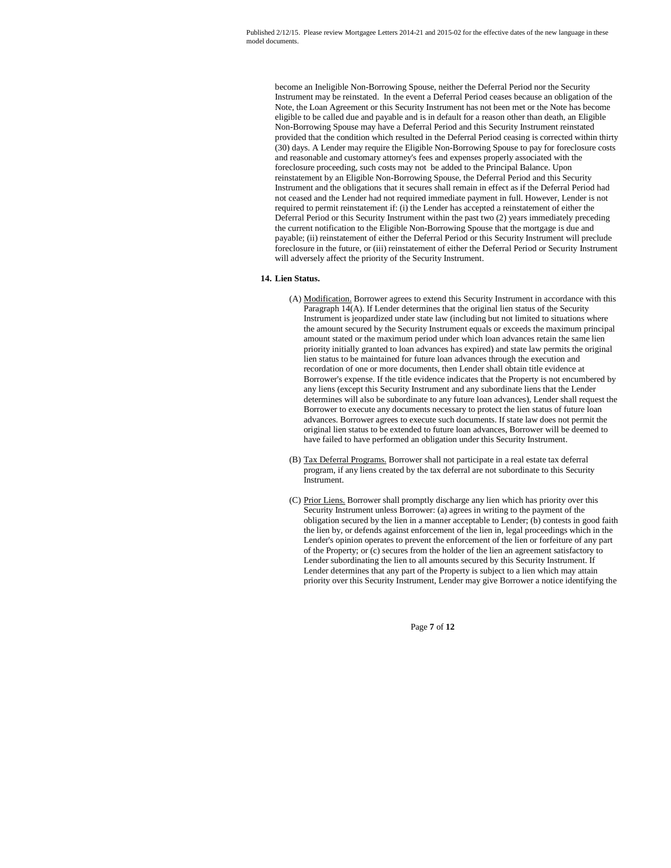become an Ineligible Non-Borrowing Spouse, neither the Deferral Period nor the Security Instrument may be reinstated. In the event a Deferral Period ceases because an obligation of the Note, the Loan Agreement or this Security Instrument has not been met or the Note has become eligible to be called due and payable and is in default for a reason other than death, an Eligible Non-Borrowing Spouse may have a Deferral Period and this Security Instrument reinstated provided that the condition which resulted in the Deferral Period ceasing is corrected within thirty (30) days. A Lender may require the Eligible Non-Borrowing Spouse to pay for foreclosure costs and reasonable and customary attorney's fees and expenses properly associated with the foreclosure proceeding, such costs may not be added to the Principal Balance. Upon reinstatement by an Eligible Non-Borrowing Spouse, the Deferral Period and this Security Instrument and the obligations that it secures shall remain in effect as if the Deferral Period had not ceased and the Lender had not required immediate payment in full. However, Lender is not required to permit reinstatement if: (i) the Lender has accepted a reinstatement of either the Deferral Period or this Security Instrument within the past two (2) years immediately preceding the current notification to the Eligible Non-Borrowing Spouse that the mortgage is due and payable; (ii) reinstatement of either the Deferral Period or this Security Instrument will preclude foreclosure in the future, or (iii) reinstatement of either the Deferral Period or Security Instrument will adversely affect the priority of the Security Instrument.

# **14. Lien Status.**

- (A) Modification. Borrower agrees to extend this Security Instrument in accordance with this Paragraph 14(A). If Lender determines that the original lien status of the Security Instrument is jeopardized under state law (including but not limited to situations where the amount secured by the Security Instrument equals or exceeds the maximum principal amount stated or the maximum period under which loan advances retain the same lien priority initially granted to loan advances has expired) and state law permits the original lien status to be maintained for future loan advances through the execution and recordation of one or more documents, then Lender shall obtain title evidence at Borrower's expense. If the title evidence indicates that the Property is not encumbered by any liens (except this Security Instrument and any subordinate liens that the Lender determines will also be subordinate to any future loan advances), Lender shall request the Borrower to execute any documents necessary to protect the lien status of future loan advances. Borrower agrees to execute such documents. If state law does not permit the original lien status to be extended to future loan advances, Borrower will be deemed to have failed to have performed an obligation under this Security Instrument.
- (B) Tax Deferral Programs. Borrower shall not participate in a real estate tax deferral program, if any liens created by the tax deferral are not subordinate to this Security **Instrument**
- (C) Prior Liens. Borrower shall promptly discharge any lien which has priority over this Security Instrument unless Borrower: (a) agrees in writing to the payment of the obligation secured by the lien in a manner acceptable to Lender; (b) contests in good faith the lien by, or defends against enforcement of the lien in, legal proceedings which in the Lender's opinion operates to prevent the enforcement of the lien or forfeiture of any part of the Property; or (c) secures from the holder of the lien an agreement satisfactory to Lender subordinating the lien to all amounts secured by this Security Instrument. If Lender determines that any part of the Property is subject to a lien which may attain priority over this Security Instrument, Lender may give Borrower a notice identifying the

Page **7** of **12**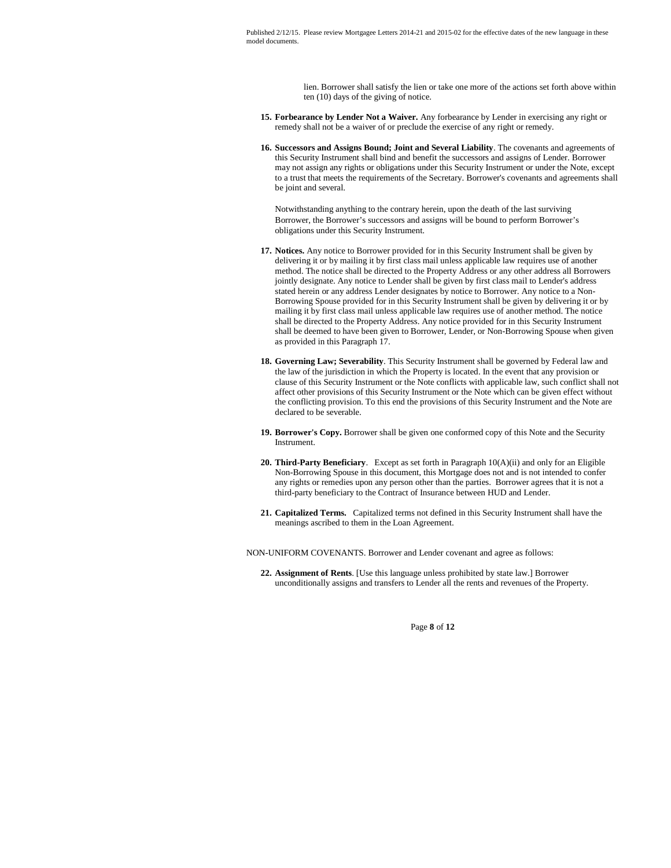> lien. Borrower shall satisfy the lien or take one more of the actions set forth above within ten (10) days of the giving of notice.

- **15. Forbearance by Lender Not a Waiver.** Any forbearance by Lender in exercising any right or remedy shall not be a waiver of or preclude the exercise of any right or remedy.
- **16. Successors and Assigns Bound; Joint and Several Liability**. The covenants and agreements of this Security Instrument shall bind and benefit the successors and assigns of Lender. Borrower may not assign any rights or obligations under this Security Instrument or under the Note, except to a trust that meets the requirements of the Secretary. Borrower's covenants and agreements shall be joint and several.

Notwithstanding anything to the contrary herein, upon the death of the last surviving Borrower, the Borrower's successors and assigns will be bound to perform Borrower's obligations under this Security Instrument.

- **17. Notices.** Any notice to Borrower provided for in this Security Instrument shall be given by delivering it or by mailing it by first class mail unless applicable law requires use of another method. The notice shall be directed to the Property Address or any other address all Borrowers jointly designate. Any notice to Lender shall be given by first class mail to Lender's address stated herein or any address Lender designates by notice to Borrower. Any notice to a Non-Borrowing Spouse provided for in this Security Instrument shall be given by delivering it or by mailing it by first class mail unless applicable law requires use of another method. The notice shall be directed to the Property Address. Any notice provided for in this Security Instrument shall be deemed to have been given to Borrower, Lender, or Non-Borrowing Spouse when given as provided in this Paragraph 17.
- **18. Governing Law; Severability**. This Security Instrument shall be governed by Federal law and the law of the jurisdiction in which the Property is located. In the event that any provision or clause of this Security Instrument or the Note conflicts with applicable law, such conflict shall not affect other provisions of this Security Instrument or the Note which can be given effect without the conflicting provision. To this end the provisions of this Security Instrument and the Note are declared to be severable.
- **19. Borrower's Copy.** Borrower shall be given one conformed copy of this Note and the Security Instrument.
- **20. Third-Party Beneficiary**. Except as set forth in Paragraph 10(A)(ii) and only for an Eligible Non-Borrowing Spouse in this document, this Mortgage does not and is not intended to confer any rights or remedies upon any person other than the parties. Borrower agrees that it is not a third-party beneficiary to the Contract of Insurance between HUD and Lender.
- **21. Capitalized Terms.** Capitalized terms not defined in this Security Instrument shall have the meanings ascribed to them in the Loan Agreement.

NON-UNIFORM COVENANTS. Borrower and Lender covenant and agree as follows:

**22. Assignment of Rents**. [Use this language unless prohibited by state law.] Borrower unconditionally assigns and transfers to Lender all the rents and revenues of the Property.

Page **8** of **12**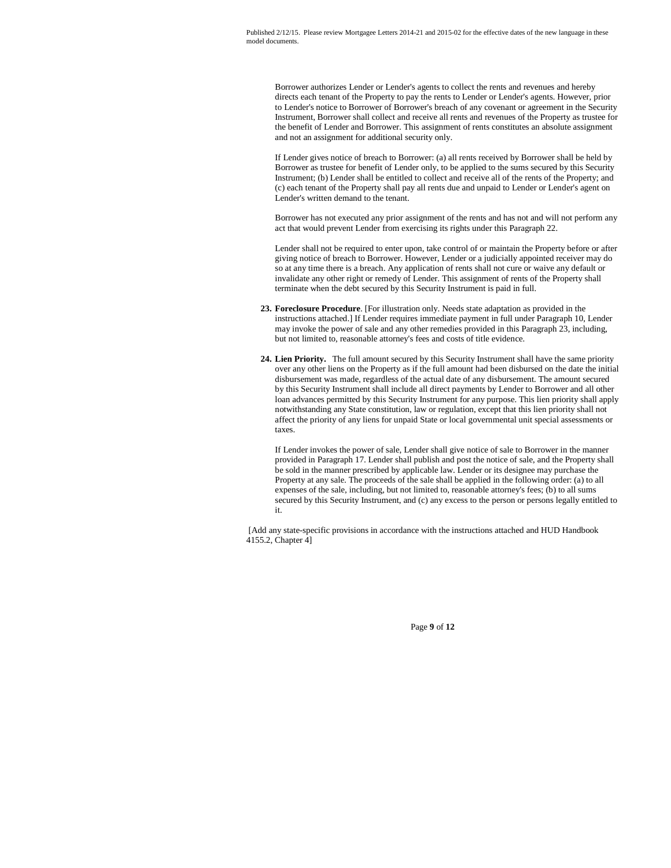Borrower authorizes Lender or Lender's agents to collect the rents and revenues and hereby directs each tenant of the Property to pay the rents to Lender or Lender's agents. However, prior to Lender's notice to Borrower of Borrower's breach of any covenant or agreement in the Security Instrument, Borrower shall collect and receive all rents and revenues of the Property as trustee for the benefit of Lender and Borrower. This assignment of rents constitutes an absolute assignment and not an assignment for additional security only.

If Lender gives notice of breach to Borrower: (a) all rents received by Borrower shall be held by Borrower as trustee for benefit of Lender only, to be applied to the sums secured by this Security Instrument; (b) Lender shall be entitled to collect and receive all of the rents of the Property; and (c) each tenant of the Property shall pay all rents due and unpaid to Lender or Lender's agent on Lender's written demand to the tenant.

Borrower has not executed any prior assignment of the rents and has not and will not perform any act that would prevent Lender from exercising its rights under this Paragraph 22.

Lender shall not be required to enter upon, take control of or maintain the Property before or after giving notice of breach to Borrower. However, Lender or a judicially appointed receiver may do so at any time there is a breach. Any application of rents shall not cure or waive any default or invalidate any other right or remedy of Lender. This assignment of rents of the Property shall terminate when the debt secured by this Security Instrument is paid in full.

- **23. Foreclosure Procedure**. [For illustration only. Needs state adaptation as provided in the instructions attached.] If Lender requires immediate payment in full under Paragraph 10, Lender may invoke the power of sale and any other remedies provided in this Paragraph 23, including, but not limited to, reasonable attorney's fees and costs of title evidence.
- **24. Lien Priority.** The full amount secured by this Security Instrument shall have the same priority over any other liens on the Property as if the full amount had been disbursed on the date the initial disbursement was made, regardless of the actual date of any disbursement. The amount secured by this Security Instrument shall include all direct payments by Lender to Borrower and all other loan advances permitted by this Security Instrument for any purpose. This lien priority shall apply notwithstanding any State constitution, law or regulation, except that this lien priority shall not affect the priority of any liens for unpaid State or local governmental unit special assessments or taxes.

If Lender invokes the power of sale, Lender shall give notice of sale to Borrower in the manner provided in Paragraph 17. Lender shall publish and post the notice of sale, and the Property shall be sold in the manner prescribed by applicable law. Lender or its designee may purchase the Property at any sale. The proceeds of the sale shall be applied in the following order: (a) to all expenses of the sale, including, but not limited to, reasonable attorney's fees; (b) to all sums secured by this Security Instrument, and (c) any excess to the person or persons legally entitled to it.

[Add any state-specific provisions in accordance with the instructions attached and HUD Handbook 4155.2, Chapter 4]

Page **9** of **12**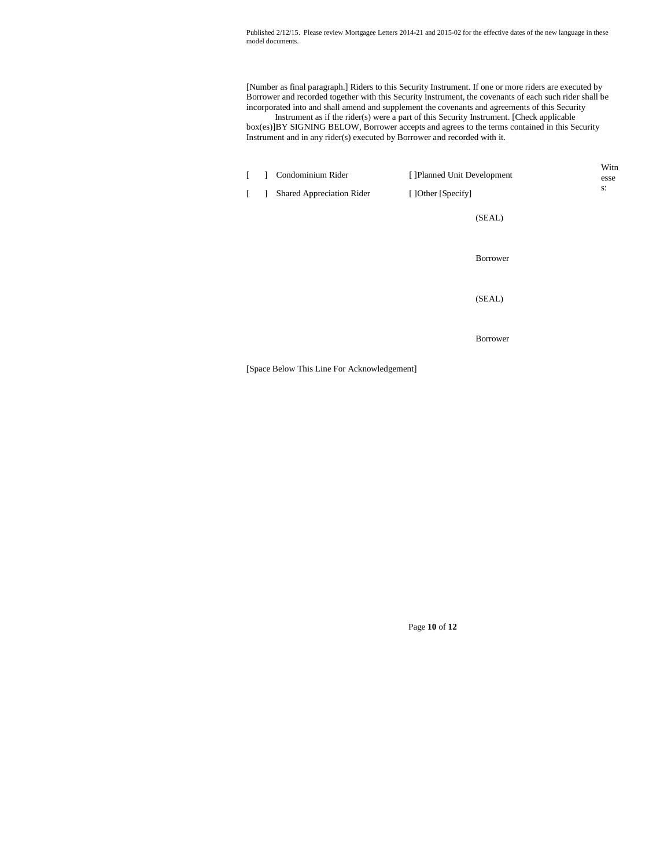[Number as final paragraph.] Riders to this Security Instrument. If one or more riders are executed by Borrower and recorded together with this Security Instrument, the covenants of each such rider shall be incorporated into and shall amend and supplement the covenants and agreements of this Security

Instrument as if the rider(s) were a part of this Security Instrument. [Check applicable box(es)]BY SIGNING BELOW, Borrower accepts and agrees to the terms contained in this Security Instrument and in any rider(s) executed by Borrower and recorded with it.

|  | Condominium Rider<br>Shared Appreciation Rider | [] Planned Unit Development<br>[] Other [Specify] | Witn<br>esse<br>s: |
|--|------------------------------------------------|---------------------------------------------------|--------------------|
|  |                                                | (SEAL)                                            |                    |
|  |                                                | Borrower                                          |                    |
|  |                                                | (SEAL)                                            |                    |
|  |                                                | Borrower                                          |                    |

[Space Below This Line For Acknowledgement]

Page **10** of **12**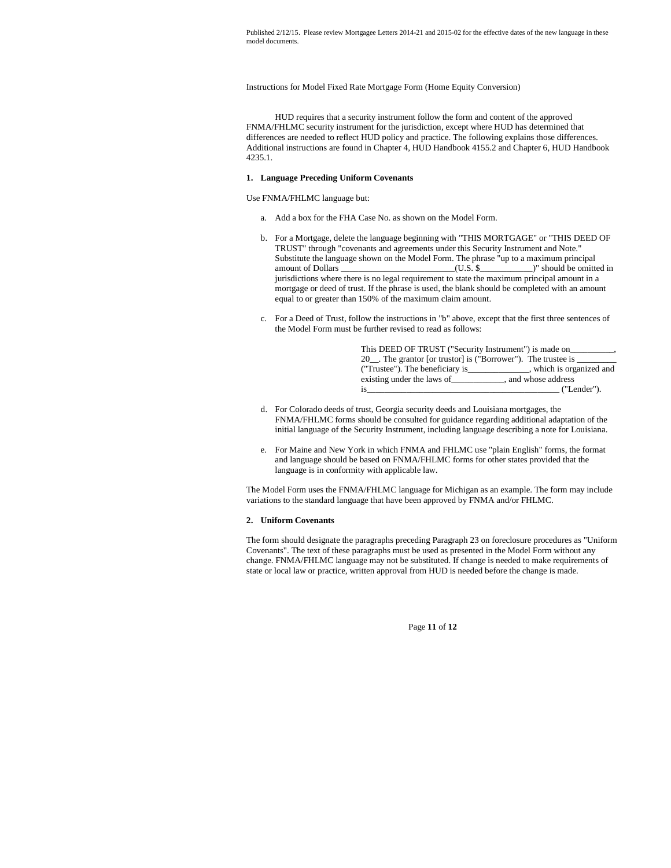Instructions for Model Fixed Rate Mortgage Form (Home Equity Conversion)

HUD requires that a security instrument follow the form and content of the approved FNMA/FHLMC security instrument for the jurisdiction, except where HUD has determined that differences are needed to reflect HUD policy and practice. The following explains those differences. Additional instructions are found in Chapter 4, HUD Handbook 4155.2 and Chapter 6, HUD Handbook 4235.1.

#### **1. Language Preceding Uniform Covenants**

Use FNMA/FHLMC language but:

- a. Add a box for the FHA Case No. as shown on the Model Form.
- b. For a Mortgage, delete the language beginning with "THIS MORTGAGE" or "THIS DEED OF TRUST" through "covenants and agreements under this Security Instrument and Note." Substitute the language shown on the Model Form. The phrase "up to a maximum principal amount of Dollars \_\_\_\_\_\_\_\_\_\_\_\_\_\_\_\_\_\_\_\_\_\_\_\_\_\_(U.S. \$\_\_\_\_\_\_\_\_\_\_\_\_)" should be omitted in jurisdictions where there is no legal requirement to state the maximum principal amount in a mortgage or deed of trust. If the phrase is used, the blank should be completed with an amount equal to or greater than 150% of the maximum claim amount.
- c. For a Deed of Trust, follow the instructions in "b" above, except that the first three sentences of the Model Form must be further revised to read as follows:

| This DEED OF TRUST ("Security Instrument") is made on        |                          |  |  |
|--------------------------------------------------------------|--------------------------|--|--|
| 20. The grantor [or trustor] is ("Borrower"). The trustee is |                          |  |  |
| ("Trustee"). The beneficiary is                              | , which is organized and |  |  |
| existing under the laws of                                   | , and whose address      |  |  |
| 1S                                                           | ("Lender").              |  |  |

- d. For Colorado deeds of trust, Georgia security deeds and Louisiana mortgages, the FNMA/FHLMC forms should be consulted for guidance regarding additional adaptation of the initial language of the Security Instrument, including language describing a note for Louisiana.
- e. For Maine and New York in which FNMA and FHLMC use "plain English" forms, the format and language should be based on FNMA/FHLMC forms for other states provided that the language is in conformity with applicable law.

The Model Form uses the FNMA/FHLMC language for Michigan as an example. The form may include variations to the standard language that have been approved by FNMA and/or FHLMC.

#### **2. Uniform Covenants**

The form should designate the paragraphs preceding Paragraph 23 on foreclosure procedures as "Uniform Covenants". The text of these paragraphs must be used as presented in the Model Form without any change. FNMA/FHLMC language may not be substituted. If change is needed to make requirements of state or local law or practice, written approval from HUD is needed before the change is made.

Page **11** of **12**